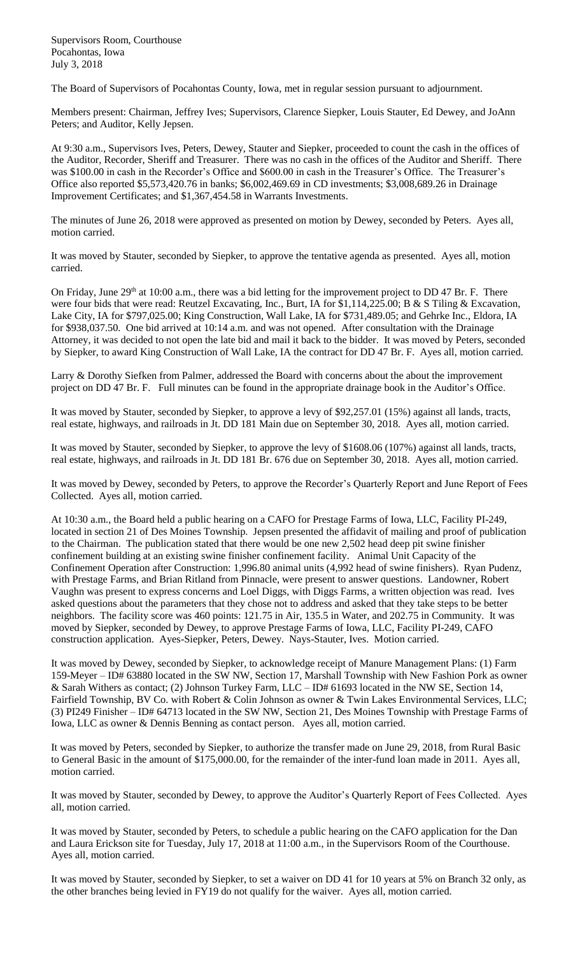Supervisors Room, Courthouse Pocahontas, Iowa July 3, 2018

The Board of Supervisors of Pocahontas County, Iowa, met in regular session pursuant to adjournment.

Members present: Chairman, Jeffrey Ives; Supervisors, Clarence Siepker, Louis Stauter, Ed Dewey, and JoAnn Peters; and Auditor, Kelly Jepsen.

At 9:30 a.m., Supervisors Ives, Peters, Dewey, Stauter and Siepker, proceeded to count the cash in the offices of the Auditor, Recorder, Sheriff and Treasurer. There was no cash in the offices of the Auditor and Sheriff. There was \$100.00 in cash in the Recorder's Office and \$600.00 in cash in the Treasurer's Office. The Treasurer's Office also reported \$5,573,420.76 in banks; \$6,002,469.69 in CD investments; \$3,008,689.26 in Drainage Improvement Certificates; and \$1,367,454.58 in Warrants Investments.

The minutes of June 26, 2018 were approved as presented on motion by Dewey, seconded by Peters. Ayes all, motion carried.

It was moved by Stauter, seconded by Siepker, to approve the tentative agenda as presented. Ayes all, motion carried.

On Friday, June 29<sup>th</sup> at 10:00 a.m., there was a bid letting for the improvement project to DD 47 Br. F. There were four bids that were read: Reutzel Excavating, Inc., Burt, IA for \$1,114,225.00; B & S Tiling & Excavation, Lake City, IA for \$797,025.00; King Construction, Wall Lake, IA for \$731,489.05; and Gehrke Inc., Eldora, IA for \$938,037.50. One bid arrived at 10:14 a.m. and was not opened. After consultation with the Drainage Attorney, it was decided to not open the late bid and mail it back to the bidder. It was moved by Peters, seconded by Siepker, to award King Construction of Wall Lake, IA the contract for DD 47 Br. F. Ayes all, motion carried.

Larry & Dorothy Siefken from Palmer, addressed the Board with concerns about the about the improvement project on DD 47 Br. F. Full minutes can be found in the appropriate drainage book in the Auditor's Office.

It was moved by Stauter, seconded by Siepker, to approve a levy of \$92,257.01 (15%) against all lands, tracts, real estate, highways, and railroads in Jt. DD 181 Main due on September 30, 2018. Ayes all, motion carried.

It was moved by Stauter, seconded by Siepker, to approve the levy of \$1608.06 (107%) against all lands, tracts, real estate, highways, and railroads in Jt. DD 181 Br. 676 due on September 30, 2018. Ayes all, motion carried.

It was moved by Dewey, seconded by Peters, to approve the Recorder's Quarterly Report and June Report of Fees Collected. Ayes all, motion carried.

At 10:30 a.m., the Board held a public hearing on a CAFO for Prestage Farms of Iowa, LLC, Facility PI-249, located in section 21 of Des Moines Township. Jepsen presented the affidavit of mailing and proof of publication to the Chairman. The publication stated that there would be one new 2,502 head deep pit swine finisher confinement building at an existing swine finisher confinement facility. Animal Unit Capacity of the Confinement Operation after Construction: 1,996.80 animal units (4,992 head of swine finishers). Ryan Pudenz, with Prestage Farms, and Brian Ritland from Pinnacle, were present to answer questions. Landowner, Robert Vaughn was present to express concerns and Loel Diggs, with Diggs Farms, a written objection was read. Ives asked questions about the parameters that they chose not to address and asked that they take steps to be better neighbors. The facility score was 460 points: 121.75 in Air, 135.5 in Water, and 202.75 in Community. It was moved by Siepker, seconded by Dewey, to approve Prestage Farms of Iowa, LLC, Facility PI-249, CAFO construction application. Ayes-Siepker, Peters, Dewey. Nays-Stauter, Ives. Motion carried.

It was moved by Dewey, seconded by Siepker, to acknowledge receipt of Manure Management Plans: (1) Farm 159-Meyer – ID# 63880 located in the SW NW, Section 17, Marshall Township with New Fashion Pork as owner & Sarah Withers as contact; (2) Johnson Turkey Farm, LLC – ID# 61693 located in the NW SE, Section 14, Fairfield Township, BV Co. with Robert & Colin Johnson as owner & Twin Lakes Environmental Services, LLC; (3) PI249 Finisher – ID# 64713 located in the SW NW, Section 21, Des Moines Township with Prestage Farms of Iowa, LLC as owner & Dennis Benning as contact person. Ayes all, motion carried.

It was moved by Peters, seconded by Siepker, to authorize the transfer made on June 29, 2018, from Rural Basic to General Basic in the amount of \$175,000.00, for the remainder of the inter-fund loan made in 2011. Ayes all, motion carried.

It was moved by Stauter, seconded by Dewey, to approve the Auditor's Quarterly Report of Fees Collected. Ayes all, motion carried.

It was moved by Stauter, seconded by Peters, to schedule a public hearing on the CAFO application for the Dan and Laura Erickson site for Tuesday, July 17, 2018 at 11:00 a.m., in the Supervisors Room of the Courthouse. Ayes all, motion carried.

It was moved by Stauter, seconded by Siepker, to set a waiver on DD 41 for 10 years at 5% on Branch 32 only, as the other branches being levied in FY19 do not qualify for the waiver. Ayes all, motion carried.